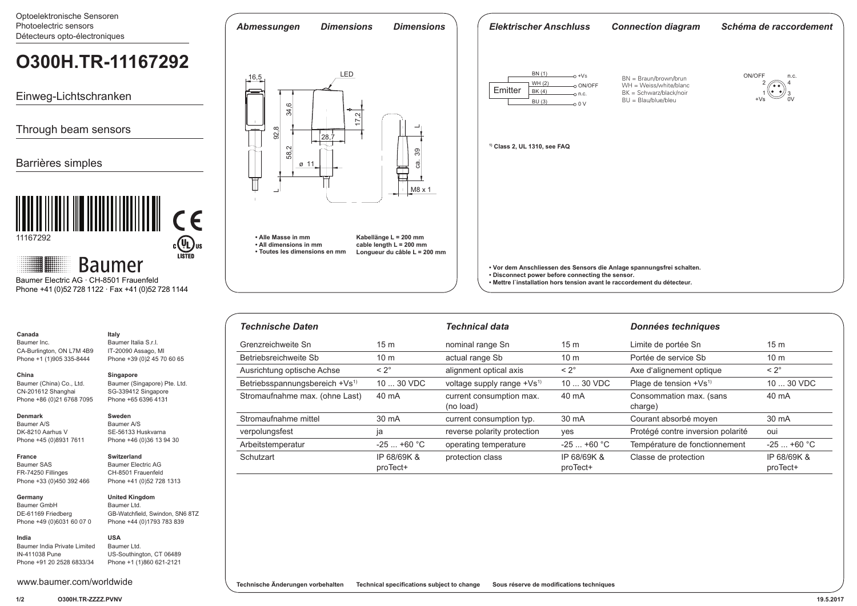Optoelektronische Sensoren Photoelectric sensors *Abmessungen Dimensions Dimensions Elektrischer Anschluss Connection diagram Schéma de raccordement* Détecteurs opto-électroniques **O300H.TR-11167292** $\frac{\text{BN (1)}}{\text{WH (2)}}$  o +Vs LED ON/OFF n.c. 16,5 BN = Braun/brown/brun WH = Weiss/white/blanc 2 ⌒ 4  $\sim$  ON/OFF Emitter  $\frac{B(K(4))}{B(K(4))}$  on c BK = Schwarz/black/noir ه ما Einweg-Lichtschranken 1 +Vs 3 BU = Blau/blue/bleu 0V 34,6  $\sim$  0 V 17,2 Through beam sensors 92,8  $\overline{\phantom{0}}$  $\frac{1}{28}$ **1) Class 2, UL 1310, see FAQ** 58,2 ca.<br>S Barrières simples  $\alpha$  1 Ő M8 x 1  $\overline{\phantom{0}}$  $\epsilon$ 11167292 **• Alle Masse in mm Kabellänge L = 200 mm**  $c$ (U<sub>L</sub>) US **• All dimensions in mm cable length L = 200 mm • Toutes les dimensions en mm Longueur du câble L = 200 mm Baumer • Vor dem Anschliessen des Sensors die Anlage spannungsfrei schalten. • Disconnect power before connecting the sensor.**  Baumer Electric AG · CH-8501 Frauenfeld **• Mettre l`installation hors tension avant le raccordement du détecteur.** Phone +41 (0)52 728 1122 · Fax +41 (0)52 728 1144

**Technische Änderungen vorbehalten Technical specifications subject to change Sous réserve de modifications techniques**

| <b>Technische Daten</b>                    |                         | <b>Technical data</b>                  |                         | Données techniques                 |                         |
|--------------------------------------------|-------------------------|----------------------------------------|-------------------------|------------------------------------|-------------------------|
| Grenzreichweite Sn                         | 15 <sub>m</sub>         | nominal range Sn                       | 15 <sub>m</sub>         | Limite de portée Sn                | 15 <sub>m</sub>         |
| Betriebsreichweite Sb                      | 10 <sub>m</sub>         | actual range Sb                        | 10 <sub>m</sub>         | Portée de service Sb               | 10 <sub>m</sub>         |
| Ausrichtung optische Achse                 | $< 2^\circ$             | alignment optical axis                 | $< 2^\circ$             | Axe d'alignement optique           | $< 2^\circ$             |
| Betriebsspannungsbereich +Vs <sup>1)</sup> | $1030$ VDC              | voltage supply range +Vs <sup>1)</sup> | 10  30 VDC              | Plage de tension +Vs <sup>1)</sup> | 10  30 VDC              |
| Stromaufnahme max. (ohne Last)             | 40 mA                   | current consumption max.<br>(no load)  | 40 mA                   | Consommation max. (sans<br>charge) | 40 mA                   |
| Stromaufnahme mittel                       | 30 mA                   | current consumption typ.               | 30 mA                   | Courant absorbé moyen              | 30 mA                   |
| verpolungsfest                             | ja                      | reverse polarity protection            | ves                     | Protégé contre inversion polarité  | oui                     |
| Arbeitstemperatur                          | $-25+60 °C$             | operating temperature                  | $-25$ +60 °C            | Température de fonctionnement      | $-25+60 °C$             |
| Schutzart                                  | IP 68/69K &<br>proTect+ | protection class                       | IP 68/69K &<br>proTect+ | Classe de protection               | IP 68/69K &<br>proTect+ |

Baumer India Private Limited IN-411038 Pune Phone +91 20 2528 6833/34

**Canada** Baumer Inc.

**China**

**Denmark** Baumer A/S DK-8210 Aarhus V Phone +45 (0)8931 7611

**France** Baumer SAS FR-74250 Fillinges Phone +33 (0)450 392 466

**Germany**  Baumer GmbH DE-61169 Friedberg Phone +49 (0)6031 60 07 0

**India**

CA-Burlington, ON L7M 4B9 Phone +1 (1)905 335-8444

**Italy** Baumer Italia S.r.l. IT-20090 Assago, MI Phone +39 (0)2 45 70 60 65

**Singapore**

**Sweden** Baumer A/S SE-56133 Huskvarna Phone +46 (0)36 13 94 30

**Switzerland** Baumer Electric AG CH-8501 Frauenfeld Phone +41 (0)52 728 1313

**United Kingdom** Baumer Ltd.

**USA** Baumer Ltd.

GB-Watchfield, Swindon, SN6 8TZ Phone +44 (0)1793 783 839

US-Southington, CT 06489 Phone +1 (1)860 621-2121

Baumer (Singapore) Pte. Ltd. SG-339412 Singapore Phone +65 6396 4131

Baumer (China) Co., Ltd. CN-201612 Shanghai Phone +86 (0)21 6768 7095